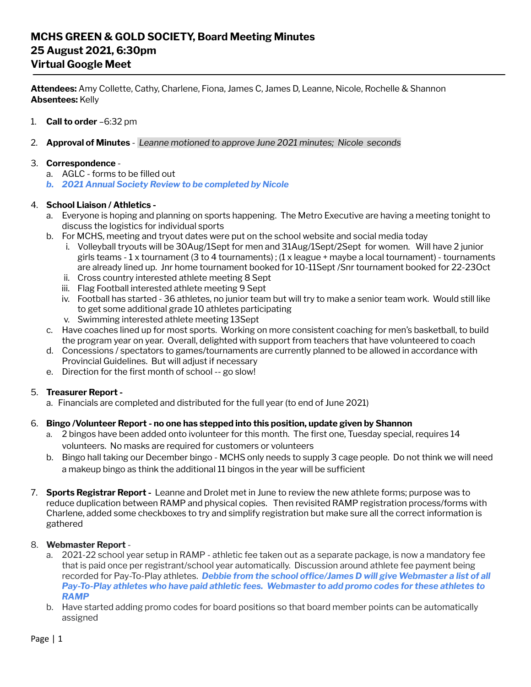# **MCHS GREEN & GOLD SOCIETY, Board Meeting Minutes 25 August 2021, 6:30pm Virtual Google Meet**

**Attendees:** Amy Collette, Cathy, Charlene, Fiona, James C, James D, Leanne, Nicole, Rochelle & Shannon **Absentees:** Kelly

- 1. **Call to order** –6:32 pm
- 2. **Approval of Minutes** *Leanne motioned to approve June 2021 minutes; Nicole seconds*

#### 3. **Correspondence** -

- a. AGLC forms to be filled out
- *b. 2021 Annual Society Review to be completed by Nicole*

## 4. **School Liaison / Athletics -**

- a. Everyone is hoping and planning on sports happening. The Metro Executive are having a meeting tonight to discuss the logistics for individual sports
- b. For MCHS, meeting and tryout dates were put on the school website and social media today
	- i. Volleyball tryouts will be 30Aug/1Sept for men and 31Aug/1Sept/2Sept for women. Will have 2 junior girls teams - 1 x tournament (3 to 4 tournaments) ; (1 x league + maybe a local tournament) - tournaments are already lined up. Jnr home tournament booked for 10-11Sept /Snr tournament booked for 22-23Oct
	- ii. Cross country interested athlete meeting 8 Sept
	- iii. Flag Football interested athlete meeting 9 Sept
	- iv. Football has started 36 athletes, no junior team but will try to make a senior team work. Would still like to get some additional grade 10 athletes participating
	- v. Swimming interested athlete meeting 13Sept
- c. Have coaches lined up for most sports. Working on more consistent coaching for men's basketball, to build the program year on year. Overall, delighted with support from teachers that have volunteered to coach
- d. Concessions / spectators to games/tournaments are currently planned to be allowed in accordance with Provincial Guidelines. But will adjust if necessary
- e. Direction for the first month of school -- go slow!

#### 5. **Treasurer Report -**

a. Financials are completed and distributed for the full year (to end of June 2021)

#### 6. **Bingo /Volunteer Report - no one has stepped into this position, update given by Shannon**

- a. 2 bingos have been added onto ivolunteer for this month. The first one, Tuesday special, requires 14 volunteers. No masks are required for customers or volunteers
- b. Bingo hall taking our December bingo MCHS only needs to supply 3 cage people. Do not think we will need a makeup bingo as think the additional 11 bingos in the year will be sufficient
- 7. **Sports Registrar Report -** Leanne and Drolet met in June to review the new athlete forms; purpose was to reduce duplication between RAMP and physical copies. Then revisited RAMP registration process/forms with Charlene, added some checkboxes to try and simplify registration but make sure all the correct information is gathered

#### 8. **Webmaster Report** -

- a. 2021-22 school year setup in RAMP athletic fee taken out as a separate package, is now a mandatory fee that is paid once per registrant/school year automatically. Discussion around athlete fee payment being recorded for Pay-To-Play athletes. *Debbie from the school office/James D will give Webmaster a list of all Pay-To-Play athletes who have paid athletic fees. Webmaster to add promo codes for these athletes to RAMP*
- b. Have started adding promo codes for board positions so that board member points can be automatically assigned